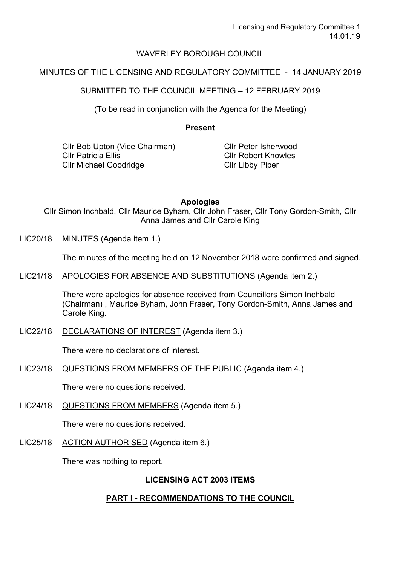### WAVERLEY BOROUGH COUNCIL

### MINUTES OF THE LICENSING AND REGULATORY COMMITTEE - 14 JANUARY 2019

## SUBMITTED TO THE COUNCIL MEETING – 12 FEBRUARY 2019

(To be read in conjunction with the Agenda for the Meeting)

**Present**

Cllr Bob Upton (Vice Chairman) Cllr Patricia Ellis Cllr Michael Goodridge

Cllr Peter Isherwood Cllr Robert Knowles Cllr Libby Piper

**Apologies**

Cllr Simon Inchbald, Cllr Maurice Byham, Cllr John Fraser, Cllr Tony Gordon-Smith, Cllr Anna James and Cllr Carole King

LIC20/18 MINUTES (Agenda item 1.)

The minutes of the meeting held on 12 November 2018 were confirmed and signed.

LIC21/18 APOLOGIES FOR ABSENCE AND SUBSTITUTIONS (Agenda item 2.)

There were apologies for absence received from Councillors Simon Inchbald (Chairman) , Maurice Byham, John Fraser, Tony Gordon-Smith, Anna James and Carole King.

LIC22/18 DECLARATIONS OF INTEREST (Agenda item 3.)

There were no declarations of interest.

LIC23/18 QUESTIONS FROM MEMBERS OF THE PUBLIC (Agenda item 4.)

There were no questions received.

LIC24/18 QUESTIONS FROM MEMBERS (Agenda item 5.)

There were no questions received.

LIC25/18 ACTION AUTHORISED (Agenda item 6.)

There was nothing to report.

# **LICENSING ACT 2003 ITEMS**

# **PART I - RECOMMENDATIONS TO THE COUNCIL**